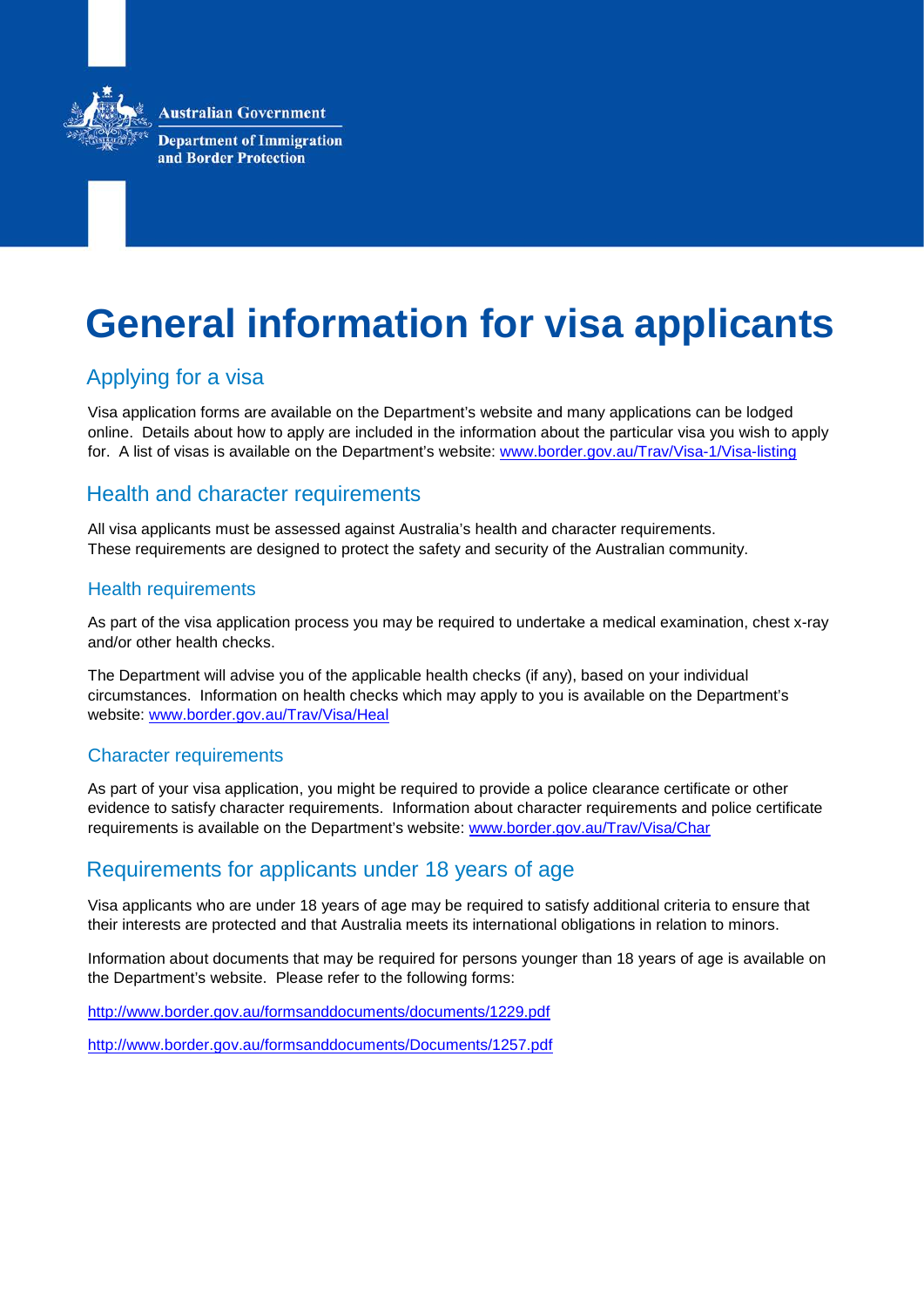**Australian Government** 



**Department of Immigration** and Border Protection

# **General information for visa applicants**

# Applying for a visa

Visa application forms are available on the Department's website and many applications can be lodged online. Details about how to apply are included in the information about the particular visa you wish to apply for. A list of visas is available on the Department's website: [www.border.gov.au/Trav/Visa-1/Visa-listing](http://www.border.gov.au/Trav/Visa-1/Visa-listing)

# Health and character requirements

All visa applicants must be assessed against Australia's health and character requirements. These requirements are designed to protect the safety and security of the Australian community.

#### Health requirements

As part of the visa application process you may be required to undertake a medical examination, chest x-ray and/or other health checks.

The Department will advise you of the applicable health checks (if any), based on your individual circumstances. Information on health checks which may apply to you is available on the Department's website: [www.border.gov.au/Trav/Visa/Heal](http://www.border.gov.au/Trav/Visa/Heal)

#### Character requirements

As part of your visa application, you might be required to provide a police clearance certificate or other evidence to satisfy character requirements. Information about character requirements and police certificate requirements is available on the Department's website: [www.border.gov.au/Trav/Visa/Char](http://www.border.gov.au/Trav/Visa/Char)

# Requirements for applicants under 18 years of age

Visa applicants who are under 18 years of age may be required to satisfy additional criteria to ensure that their interests are protected and that Australia meets its international obligations in relation to minors.

Information about documents that may be required for persons younger than 18 years of age is available on the Department's website. Please refer to the following forms:

http://www.border.gov.au/formsanddocuments/documents/1229.pdf

<http://www.border.gov.au/formsanddocuments/Documents/1257.pdf>